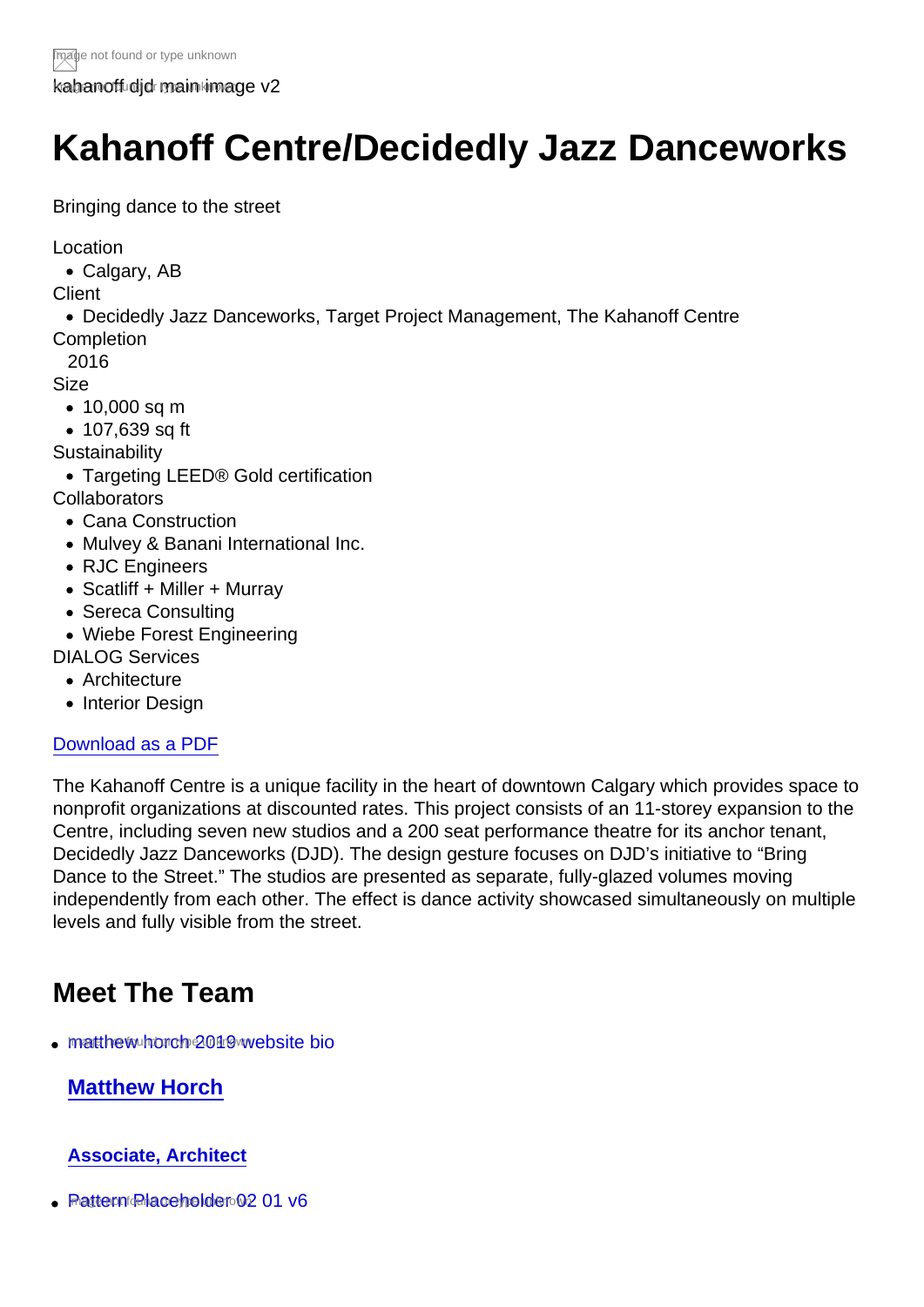kahanoff did main image v2

## Kahanoff Centre/Decidedly Jazz Danceworks

Bringing dance to the street

Location

Calgary, AB

**Client** 

Decidedly Jazz Danceworks, Target Project Management, The Kahanoff Centre **Completion** 

2016

Size

- 10,000 sq m
- 107,639 sq ft

**Sustainability** 

Targeting LEED® Gold certification

**Collaborators** 

- Cana Construction
- Mulvey & Banani International Inc.
- RJC Engineers
- Scatliff + Miller + Murray
- Sereca Consulting
- Wiebe Forest Engineering

DIALOG Services

- Architecture
- Interior Design

## [Download as a PDF](https://dialog-prod.sites.silverstripe.com/our-work/projects/kahanoff-centredecidedly-jazz-danceworks/pdf/)

The Kahanoff Centre is a unique facility in the heart of downtown Calgary which provides space to nonprofit organizations at discounted rates. This project consists of an 11-storey expansion to the Centre, including seven new studios and a 200 seat performance theatre for its anchor tenant, Decidedly Jazz Danceworks (DJD). The design gesture focuses on DJD's initiative to "Bring Dance to the Street." The studios are presented as separate, fully-glazed volumes moving independently from each other. The effect is dance activity showcased simultaneously on multiple levels and fully visible from the street.

## Meet The Team

• [matthew horch 2019 website bio](https://dialog-prod.sites.silverstripe.com/our-team/people/matthew-horch/)

Matthew Horch

## Associate, Architect

 $\cdot$  Pattern **Placeholder 02 01 v6**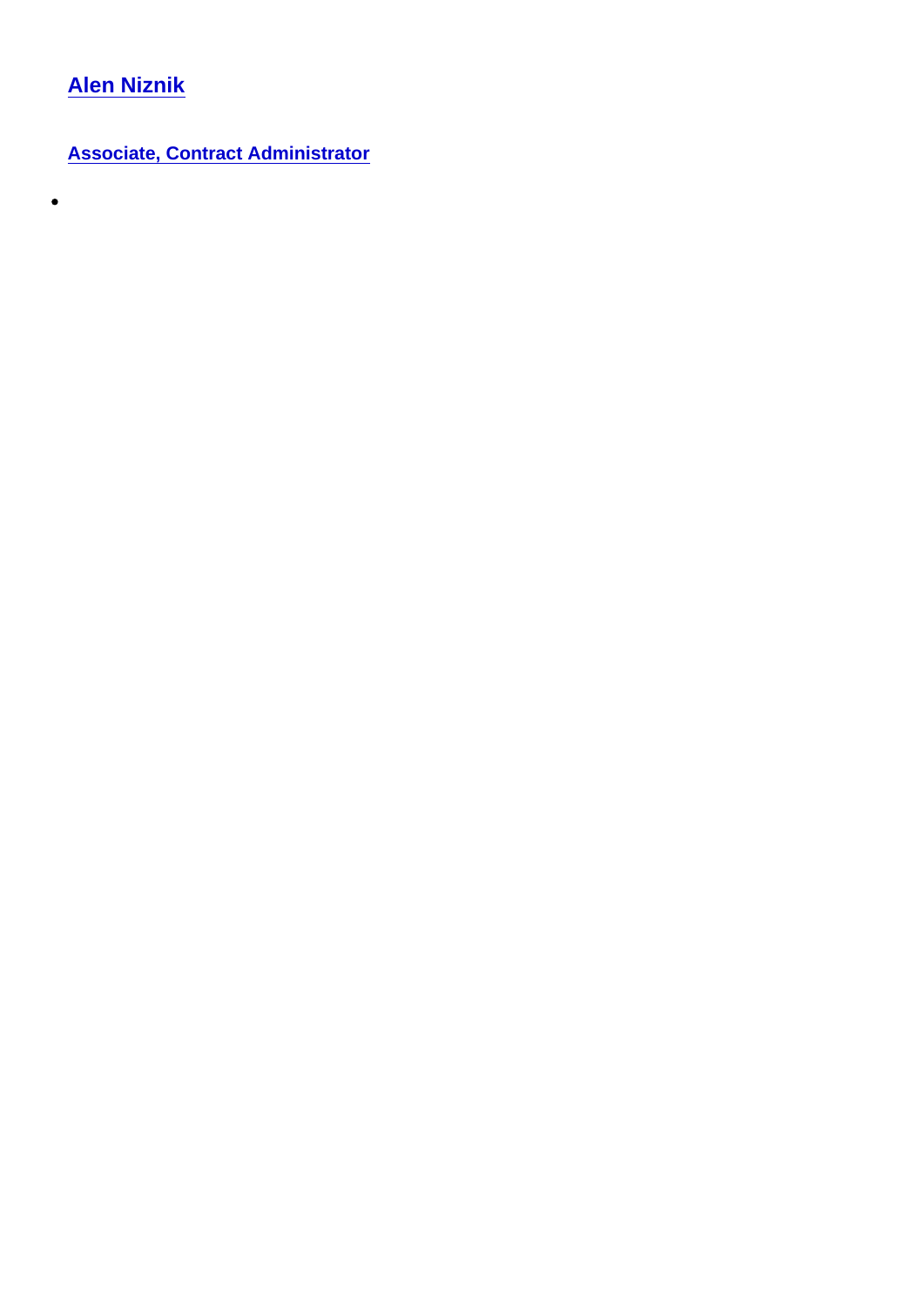[Alen Niznik](https://dialog-prod.sites.silverstripe.com/our-team/people/alen-niznik/)

 $\bullet$ 

Associate, Contract Administrator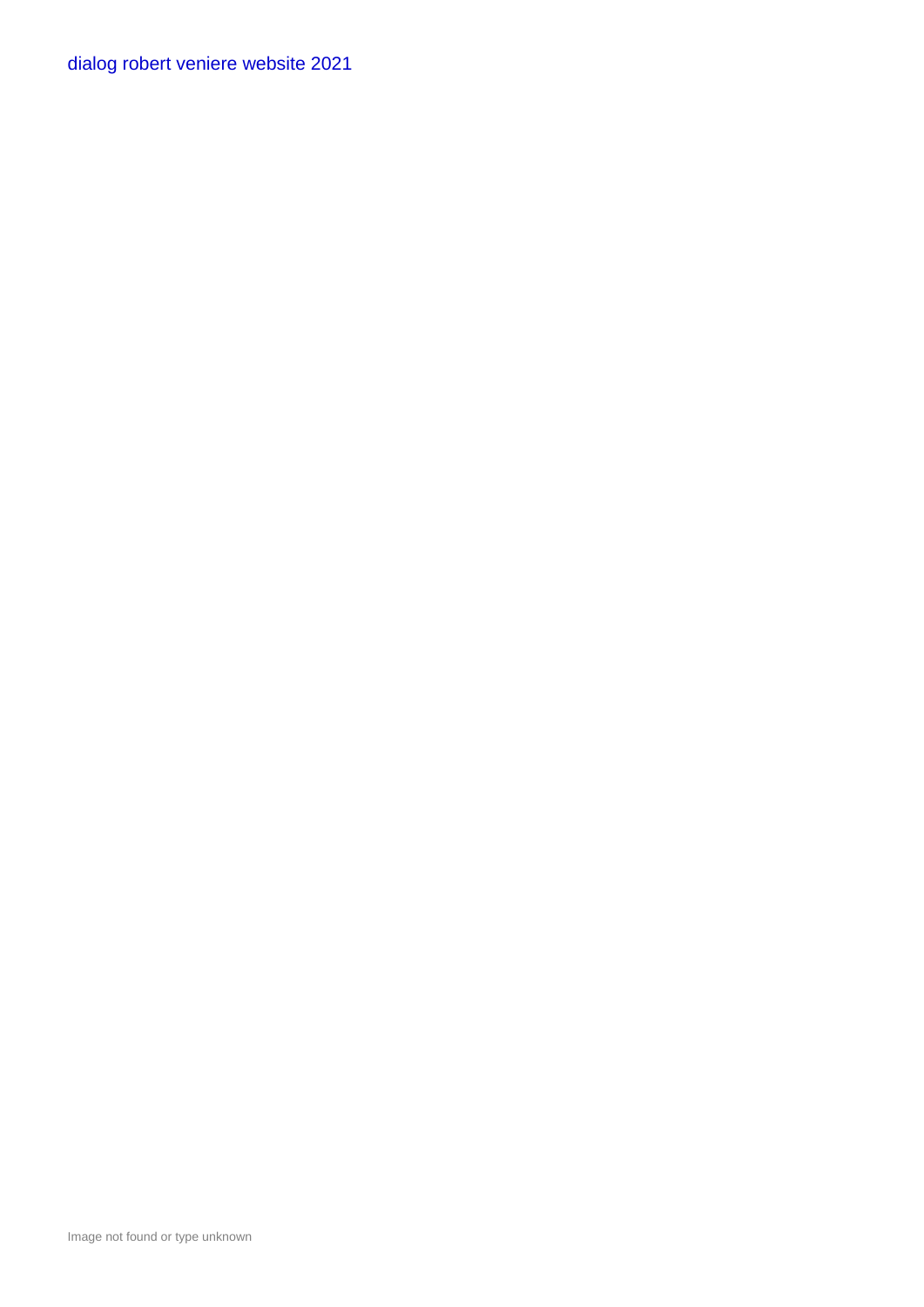[dialog robert veniere website 2021](https://dialog-prod.sites.silverstripe.com/our-team/people/robert-veniere/)